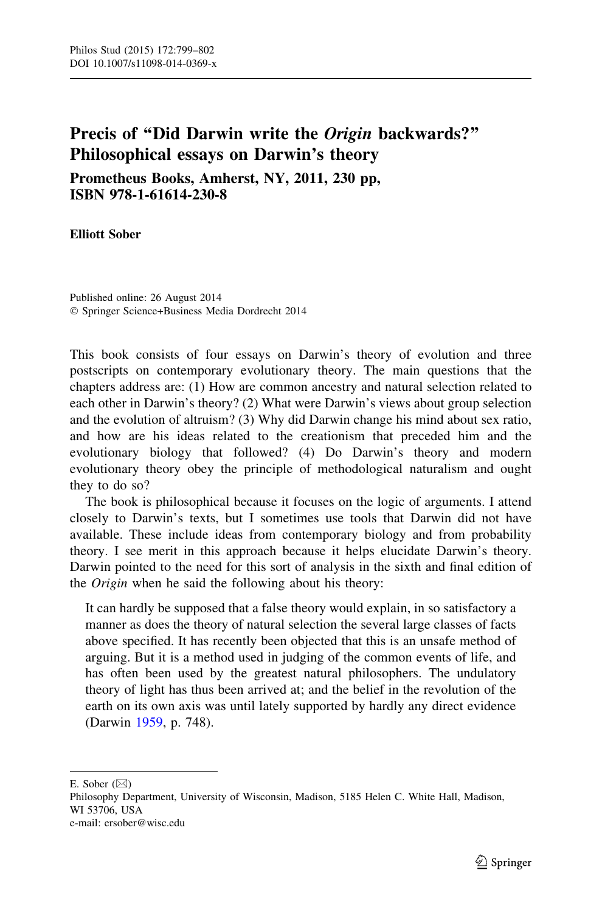# Precis of "Did Darwin write the Origin backwards?" Philosophical essays on Darwin's theory

Prometheus Books, Amherst, NY, 2011, 230 pp, ISBN 978-1-61614-230-8

Elliott Sober

Published online: 26 August 2014 - Springer Science+Business Media Dordrecht 2014

This book consists of four essays on Darwin's theory of evolution and three postscripts on contemporary evolutionary theory. The main questions that the chapters address are: (1) How are common ancestry and natural selection related to each other in Darwin's theory? (2) What were Darwin's views about group selection and the evolution of altruism? (3) Why did Darwin change his mind about sex ratio, and how are his ideas related to the creationism that preceded him and the evolutionary biology that followed? (4) Do Darwin's theory and modern evolutionary theory obey the principle of methodological naturalism and ought they to do so?

The book is philosophical because it focuses on the logic of arguments. I attend closely to Darwin's texts, but I sometimes use tools that Darwin did not have available. These include ideas from contemporary biology and from probability theory. I see merit in this approach because it helps elucidate Darwin's theory. Darwin pointed to the need for this sort of analysis in the sixth and final edition of the *Origin* when he said the following about his theory:

It can hardly be supposed that a false theory would explain, in so satisfactory a manner as does the theory of natural selection the several large classes of facts above specified. It has recently been objected that this is an unsafe method of arguing. But it is a method used in judging of the common events of life, and has often been used by the greatest natural philosophers. The undulatory theory of light has thus been arrived at; and the belief in the revolution of the earth on its own axis was until lately supported by hardly any direct evidence (Darwin [1959,](#page-3-0) p. 748).

E. Sober  $(\boxtimes)$ 

Philosophy Department, University of Wisconsin, Madison, 5185 Helen C. White Hall, Madison, WI 53706, USA e-mail: ersober@wisc.edu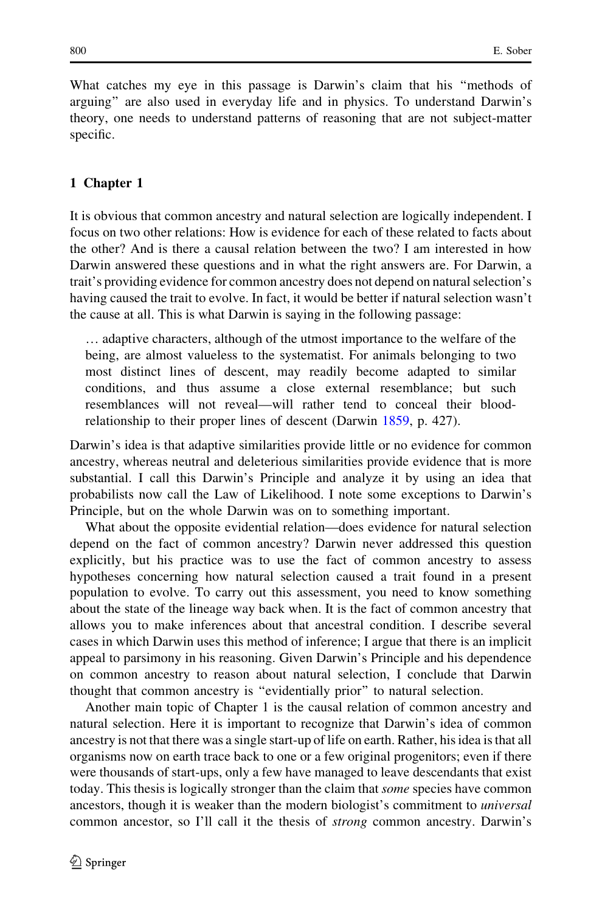What catches my eye in this passage is Darwin's claim that his ''methods of arguing'' are also used in everyday life and in physics. To understand Darwin's theory, one needs to understand patterns of reasoning that are not subject-matter specific.

# 1 Chapter 1

It is obvious that common ancestry and natural selection are logically independent. I focus on two other relations: How is evidence for each of these related to facts about the other? And is there a causal relation between the two? I am interested in how Darwin answered these questions and in what the right answers are. For Darwin, a trait's providing evidence for common ancestry does not depend on natural selection's having caused the trait to evolve. In fact, it would be better if natural selection wasn't the cause at all. This is what Darwin is saying in the following passage:

… adaptive characters, although of the utmost importance to the welfare of the being, are almost valueless to the systematist. For animals belonging to two most distinct lines of descent, may readily become adapted to similar conditions, and thus assume a close external resemblance; but such resemblances will not reveal—will rather tend to conceal their bloodrelationship to their proper lines of descent (Darwin [1859](#page-3-0), p. 427).

Darwin's idea is that adaptive similarities provide little or no evidence for common ancestry, whereas neutral and deleterious similarities provide evidence that is more substantial. I call this Darwin's Principle and analyze it by using an idea that probabilists now call the Law of Likelihood. I note some exceptions to Darwin's Principle, but on the whole Darwin was on to something important.

What about the opposite evidential relation—does evidence for natural selection depend on the fact of common ancestry? Darwin never addressed this question explicitly, but his practice was to use the fact of common ancestry to assess hypotheses concerning how natural selection caused a trait found in a present population to evolve. To carry out this assessment, you need to know something about the state of the lineage way back when. It is the fact of common ancestry that allows you to make inferences about that ancestral condition. I describe several cases in which Darwin uses this method of inference; I argue that there is an implicit appeal to parsimony in his reasoning. Given Darwin's Principle and his dependence on common ancestry to reason about natural selection, I conclude that Darwin thought that common ancestry is ''evidentially prior'' to natural selection.

Another main topic of Chapter 1 is the causal relation of common ancestry and natural selection. Here it is important to recognize that Darwin's idea of common ancestry is not that there was a single start-up of life on earth. Rather, his idea is that all organisms now on earth trace back to one or a few original progenitors; even if there were thousands of start-ups, only a few have managed to leave descendants that exist today. This thesis is logically stronger than the claim that *some* species have common ancestors, though it is weaker than the modern biologist's commitment to universal common ancestor, so I'll call it the thesis of strong common ancestry. Darwin's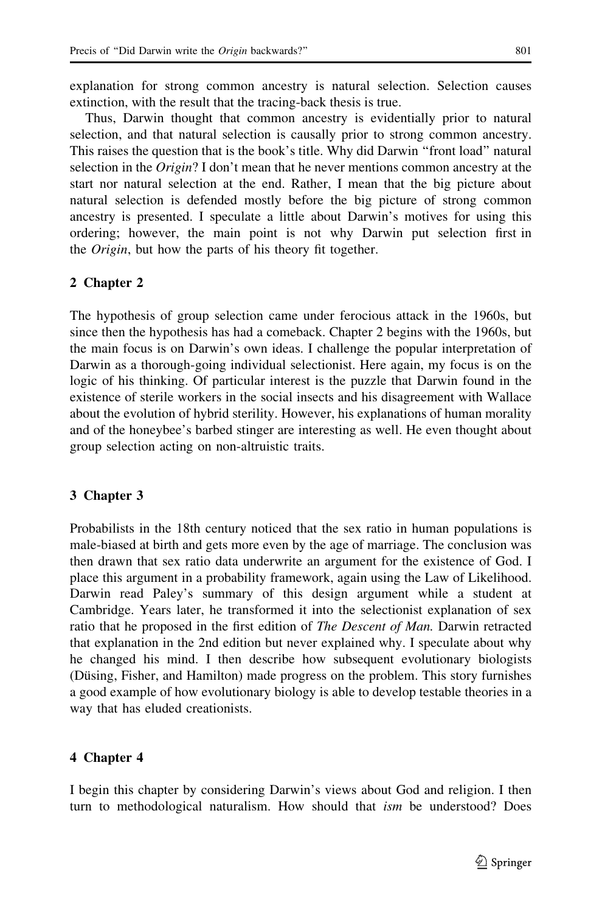explanation for strong common ancestry is natural selection. Selection causes extinction, with the result that the tracing-back thesis is true.

Thus, Darwin thought that common ancestry is evidentially prior to natural selection, and that natural selection is causally prior to strong common ancestry. This raises the question that is the book's title. Why did Darwin ''front load'' natural selection in the Origin? I don't mean that he never mentions common ancestry at the start nor natural selection at the end. Rather, I mean that the big picture about natural selection is defended mostly before the big picture of strong common ancestry is presented. I speculate a little about Darwin's motives for using this ordering; however, the main point is not why Darwin put selection first in the *Origin*, but how the parts of his theory fit together.

## 2 Chapter 2

The hypothesis of group selection came under ferocious attack in the 1960s, but since then the hypothesis has had a comeback. Chapter 2 begins with the 1960s, but the main focus is on Darwin's own ideas. I challenge the popular interpretation of Darwin as a thorough-going individual selectionist. Here again, my focus is on the logic of his thinking. Of particular interest is the puzzle that Darwin found in the existence of sterile workers in the social insects and his disagreement with Wallace about the evolution of hybrid sterility. However, his explanations of human morality and of the honeybee's barbed stinger are interesting as well. He even thought about group selection acting on non-altruistic traits.

## 3 Chapter 3

Probabilists in the 18th century noticed that the sex ratio in human populations is male-biased at birth and gets more even by the age of marriage. The conclusion was then drawn that sex ratio data underwrite an argument for the existence of God. I place this argument in a probability framework, again using the Law of Likelihood. Darwin read Paley's summary of this design argument while a student at Cambridge. Years later, he transformed it into the selectionist explanation of sex ratio that he proposed in the first edition of The Descent of Man. Darwin retracted that explanation in the 2nd edition but never explained why. I speculate about why he changed his mind. I then describe how subsequent evolutionary biologists (Düsing, Fisher, and Hamilton) made progress on the problem. This story furnishes a good example of how evolutionary biology is able to develop testable theories in a way that has eluded creationists.

## 4 Chapter 4

I begin this chapter by considering Darwin's views about God and religion. I then turn to methodological naturalism. How should that *ism* be understood? Does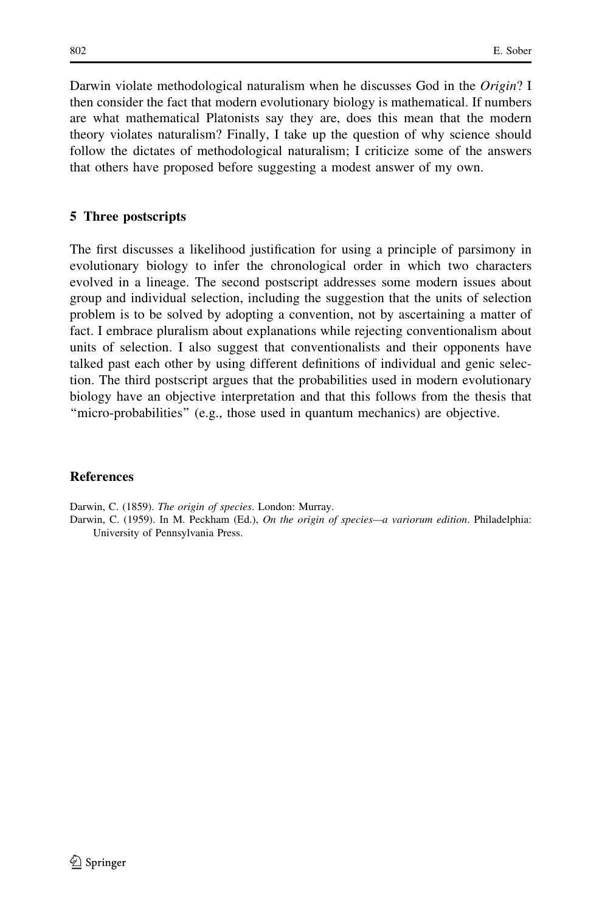<span id="page-3-0"></span>Darwin violate methodological naturalism when he discusses God in the Origin? I then consider the fact that modern evolutionary biology is mathematical. If numbers are what mathematical Platonists say they are, does this mean that the modern theory violates naturalism? Finally, I take up the question of why science should follow the dictates of methodological naturalism; I criticize some of the answers that others have proposed before suggesting a modest answer of my own.

## 5 Three postscripts

The first discusses a likelihood justification for using a principle of parsimony in evolutionary biology to infer the chronological order in which two characters evolved in a lineage. The second postscript addresses some modern issues about group and individual selection, including the suggestion that the units of selection problem is to be solved by adopting a convention, not by ascertaining a matter of fact. I embrace pluralism about explanations while rejecting conventionalism about units of selection. I also suggest that conventionalists and their opponents have talked past each other by using different definitions of individual and genic selection. The third postscript argues that the probabilities used in modern evolutionary biology have an objective interpretation and that this follows from the thesis that ''micro-probabilities'' (e.g., those used in quantum mechanics) are objective.

#### References

Darwin, C. (1859). The origin of species. London: Murray.

Darwin, C. (1959). In M. Peckham (Ed.), On the origin of species—a variorum edition. Philadelphia: University of Pennsylvania Press.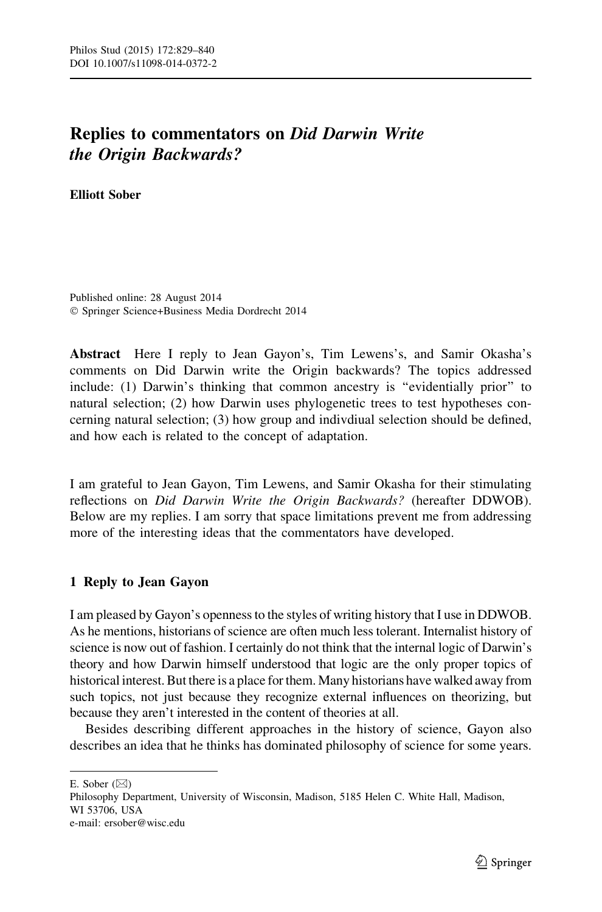# Replies to commentators on Did Darwin Write the Origin Backwards?

Elliott Sober

Published online: 28 August 2014 - Springer Science+Business Media Dordrecht 2014

Abstract Here I reply to Jean Gayon's, Tim Lewens's, and Samir Okasha's comments on Did Darwin write the Origin backwards? The topics addressed include: (1) Darwin's thinking that common ancestry is ''evidentially prior'' to natural selection; (2) how Darwin uses phylogenetic trees to test hypotheses concerning natural selection; (3) how group and indivdiual selection should be defined, and how each is related to the concept of adaptation.

I am grateful to Jean Gayon, Tim Lewens, and Samir Okasha for their stimulating reflections on Did Darwin Write the Origin Backwards? (hereafter DDWOB). Below are my replies. I am sorry that space limitations prevent me from addressing more of the interesting ideas that the commentators have developed.

# 1 Reply to Jean Gayon

I am pleased by Gayon's openness to the styles of writing history that I use in DDWOB. As he mentions, historians of science are often much less tolerant. Internalist history of science is now out of fashion. I certainly do not think that the internal logic of Darwin's theory and how Darwin himself understood that logic are the only proper topics of historical interest. But there is a place for them. Many historians have walked away from such topics, not just because they recognize external influences on theorizing, but because they aren't interested in the content of theories at all.

Besides describing different approaches in the history of science, Gayon also describes an idea that he thinks has dominated philosophy of science for some years.

E. Sober  $(\boxtimes)$ 

Philosophy Department, University of Wisconsin, Madison, 5185 Helen C. White Hall, Madison, WI 53706, USA e-mail: ersober@wisc.edu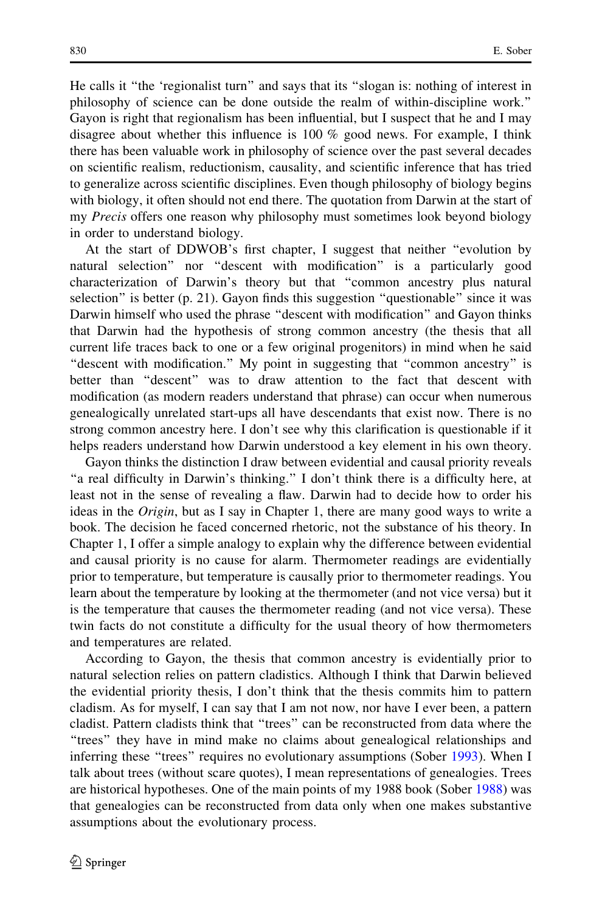He calls it ''the 'regionalist turn'' and says that its ''slogan is: nothing of interest in philosophy of science can be done outside the realm of within-discipline work.'' Gayon is right that regionalism has been influential, but I suspect that he and I may disagree about whether this influence is 100 % good news. For example, I think there has been valuable work in philosophy of science over the past several decades on scientific realism, reductionism, causality, and scientific inference that has tried to generalize across scientific disciplines. Even though philosophy of biology begins with biology, it often should not end there. The quotation from Darwin at the start of my *Precis* offers one reason why philosophy must sometimes look beyond biology in order to understand biology.

At the start of DDWOB's first chapter, I suggest that neither ''evolution by natural selection'' nor ''descent with modification'' is a particularly good characterization of Darwin's theory but that ''common ancestry plus natural selection'' is better (p. 21). Gayon finds this suggestion ''questionable'' since it was Darwin himself who used the phrase ''descent with modification'' and Gayon thinks that Darwin had the hypothesis of strong common ancestry (the thesis that all current life traces back to one or a few original progenitors) in mind when he said "descent with modification." My point in suggesting that "common ancestry" is better than ''descent'' was to draw attention to the fact that descent with modification (as modern readers understand that phrase) can occur when numerous genealogically unrelated start-ups all have descendants that exist now. There is no strong common ancestry here. I don't see why this clarification is questionable if it helps readers understand how Darwin understood a key element in his own theory.

Gayon thinks the distinction I draw between evidential and causal priority reveals "a real difficulty in Darwin's thinking." I don't think there is a difficulty here, at least not in the sense of revealing a flaw. Darwin had to decide how to order his ideas in the Origin, but as I say in Chapter 1, there are many good ways to write a book. The decision he faced concerned rhetoric, not the substance of his theory. In Chapter 1, I offer a simple analogy to explain why the difference between evidential and causal priority is no cause for alarm. Thermometer readings are evidentially prior to temperature, but temperature is causally prior to thermometer readings. You learn about the temperature by looking at the thermometer (and not vice versa) but it is the temperature that causes the thermometer reading (and not vice versa). These twin facts do not constitute a difficulty for the usual theory of how thermometers and temperatures are related.

According to Gayon, the thesis that common ancestry is evidentially prior to natural selection relies on pattern cladistics. Although I think that Darwin believed the evidential priority thesis, I don't think that the thesis commits him to pattern cladism. As for myself, I can say that I am not now, nor have I ever been, a pattern cladist. Pattern cladists think that ''trees'' can be reconstructed from data where the ''trees'' they have in mind make no claims about genealogical relationships and inferring these "trees" requires no evolutionary assumptions (Sober [1993](#page-15-0)). When I talk about trees (without scare quotes), I mean representations of genealogies. Trees are historical hypotheses. One of the main points of my 1988 book (Sober [1988](#page-15-0)) was that genealogies can be reconstructed from data only when one makes substantive assumptions about the evolutionary process.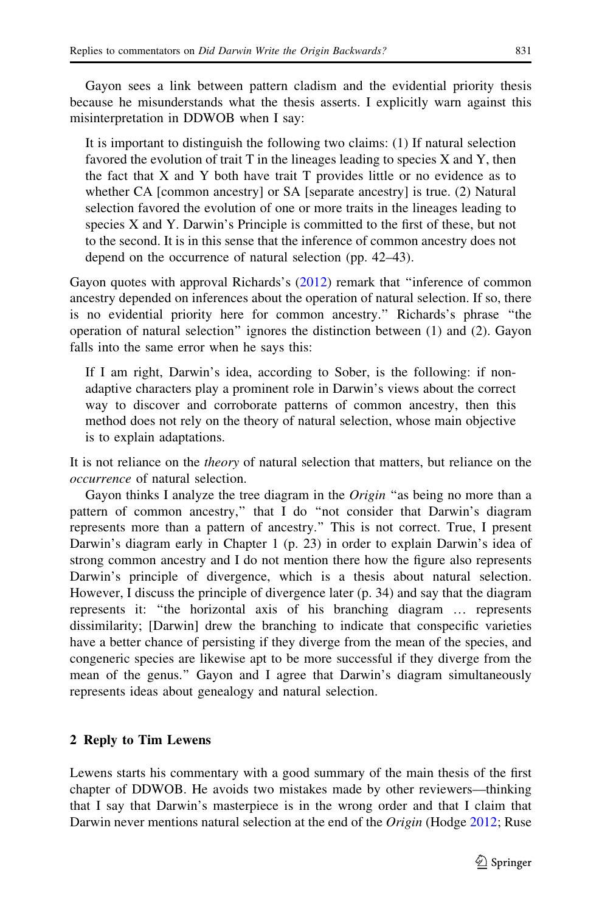Gayon sees a link between pattern cladism and the evidential priority thesis because he misunderstands what the thesis asserts. I explicitly warn against this misinterpretation in DDWOB when I say:

It is important to distinguish the following two claims: (1) If natural selection favored the evolution of trait  $T$  in the lineages leading to species  $X$  and  $Y$ , then the fact that X and Y both have trait T provides little or no evidence as to whether CA [common ancestry] or SA [separate ancestry] is true. (2) Natural selection favored the evolution of one or more traits in the lineages leading to species X and Y. Darwin's Principle is committed to the first of these, but not to the second. It is in this sense that the inference of common ancestry does not depend on the occurrence of natural selection (pp. 42–43).

Gayon quotes with approval Richards's ([2012\)](#page-15-0) remark that ''inference of common ancestry depended on inferences about the operation of natural selection. If so, there is no evidential priority here for common ancestry.'' Richards's phrase ''the operation of natural selection'' ignores the distinction between (1) and (2). Gayon falls into the same error when he says this:

If I am right, Darwin's idea, according to Sober, is the following: if nonadaptive characters play a prominent role in Darwin's views about the correct way to discover and corroborate patterns of common ancestry, then this method does not rely on the theory of natural selection, whose main objective is to explain adaptations.

It is not reliance on the *theory* of natural selection that matters, but reliance on the occurrence of natural selection.

Gayon thinks I analyze the tree diagram in the Origin "as being no more than a pattern of common ancestry,'' that I do ''not consider that Darwin's diagram represents more than a pattern of ancestry.'' This is not correct. True, I present Darwin's diagram early in Chapter 1 (p. 23) in order to explain Darwin's idea of strong common ancestry and I do not mention there how the figure also represents Darwin's principle of divergence, which is a thesis about natural selection. However, I discuss the principle of divergence later (p. 34) and say that the diagram represents it: ''the horizontal axis of his branching diagram … represents dissimilarity; [Darwin] drew the branching to indicate that conspecific varieties have a better chance of persisting if they diverge from the mean of the species, and congeneric species are likewise apt to be more successful if they diverge from the mean of the genus.'' Gayon and I agree that Darwin's diagram simultaneously represents ideas about genealogy and natural selection.

## 2 Reply to Tim Lewens

Lewens starts his commentary with a good summary of the main thesis of the first chapter of DDWOB. He avoids two mistakes made by other reviewers—thinking that I say that Darwin's masterpiece is in the wrong order and that I claim that Darwin never mentions natural selection at the end of the *Origin* (Hodge [2012](#page-15-0); Ruse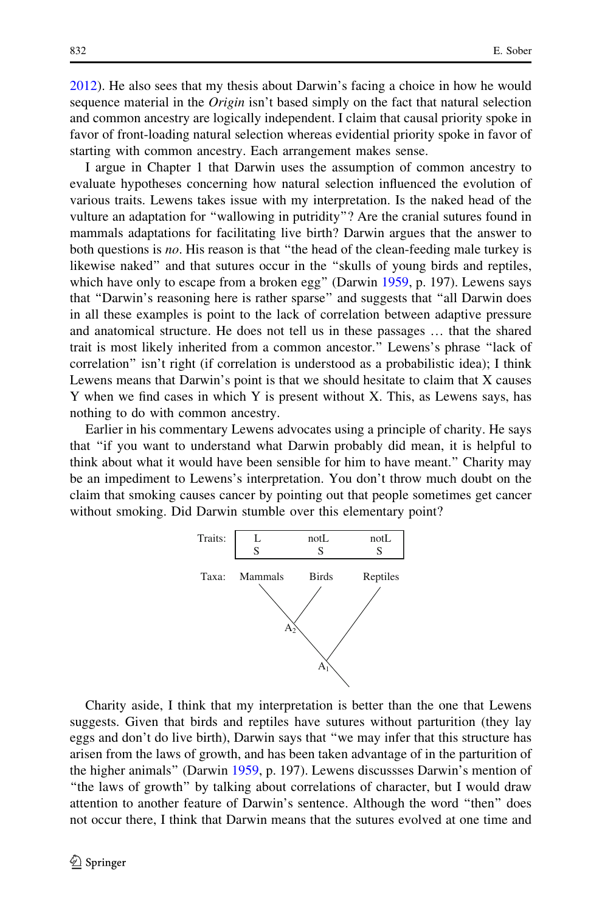[2012\)](#page-15-0). He also sees that my thesis about Darwin's facing a choice in how he would sequence material in the Origin isn't based simply on the fact that natural selection and common ancestry are logically independent. I claim that causal priority spoke in favor of front-loading natural selection whereas evidential priority spoke in favor of starting with common ancestry. Each arrangement makes sense.

I argue in Chapter 1 that Darwin uses the assumption of common ancestry to evaluate hypotheses concerning how natural selection influenced the evolution of various traits. Lewens takes issue with my interpretation. Is the naked head of the vulture an adaptation for ''wallowing in putridity''? Are the cranial sutures found in mammals adaptations for facilitating live birth? Darwin argues that the answer to both questions is *no*. His reason is that "the head of the clean-feeding male turkey is likewise naked'' and that sutures occur in the ''skulls of young birds and reptiles, which have only to escape from a broken egg'' (Darwin [1959,](#page-14-0) p. 197). Lewens says that ''Darwin's reasoning here is rather sparse'' and suggests that ''all Darwin does in all these examples is point to the lack of correlation between adaptive pressure and anatomical structure. He does not tell us in these passages … that the shared trait is most likely inherited from a common ancestor.'' Lewens's phrase ''lack of correlation'' isn't right (if correlation is understood as a probabilistic idea); I think Lewens means that Darwin's point is that we should hesitate to claim that X causes Y when we find cases in which Y is present without X. This, as Lewens says, has nothing to do with common ancestry.

Earlier in his commentary Lewens advocates using a principle of charity. He says that ''if you want to understand what Darwin probably did mean, it is helpful to think about what it would have been sensible for him to have meant.'' Charity may be an impediment to Lewens's interpretation. You don't throw much doubt on the claim that smoking causes cancer by pointing out that people sometimes get cancer without smoking. Did Darwin stumble over this elementary point?



Charity aside, I think that my interpretation is better than the one that Lewens suggests. Given that birds and reptiles have sutures without parturition (they lay eggs and don't do live birth), Darwin says that ''we may infer that this structure has arisen from the laws of growth, and has been taken advantage of in the parturition of the higher animals'' (Darwin [1959](#page-14-0), p. 197). Lewens discussses Darwin's mention of ''the laws of growth'' by talking about correlations of character, but I would draw attention to another feature of Darwin's sentence. Although the word ''then'' does not occur there, I think that Darwin means that the sutures evolved at one time and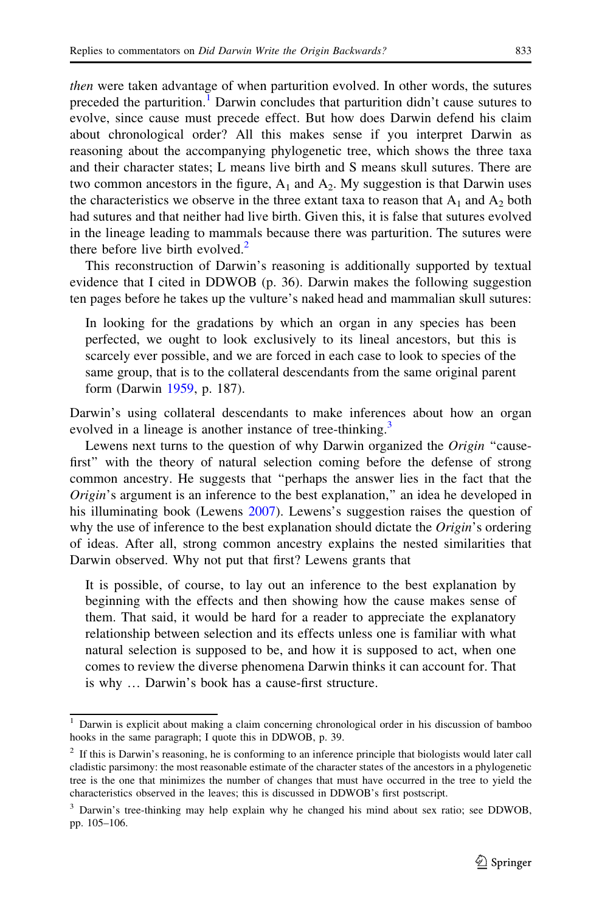then were taken advantage of when parturition evolved. In other words, the sutures preceded the parturition.<sup>1</sup> Darwin concludes that parturition didn't cause sutures to evolve, since cause must precede effect. But how does Darwin defend his claim about chronological order? All this makes sense if you interpret Darwin as reasoning about the accompanying phylogenetic tree, which shows the three taxa and their character states; L means live birth and S means skull sutures. There are two common ancestors in the figure,  $A_1$  and  $A_2$ . My suggestion is that Darwin uses the characteristics we observe in the three extant taxa to reason that  $A_1$  and  $A_2$  both had sutures and that neither had live birth. Given this, it is false that sutures evolved in the lineage leading to mammals because there was parturition. The sutures were there before live birth evolved.<sup>2</sup>

This reconstruction of Darwin's reasoning is additionally supported by textual evidence that I cited in DDWOB (p. 36). Darwin makes the following suggestion ten pages before he takes up the vulture's naked head and mammalian skull sutures:

In looking for the gradations by which an organ in any species has been perfected, we ought to look exclusively to its lineal ancestors, but this is scarcely ever possible, and we are forced in each case to look to species of the same group, that is to the collateral descendants from the same original parent form (Darwin [1959,](#page-14-0) p. 187).

Darwin's using collateral descendants to make inferences about how an organ evolved in a lineage is another instance of tree-thinking.<sup>3</sup>

Lewens next turns to the question of why Darwin organized the Origin "causefirst'' with the theory of natural selection coming before the defense of strong common ancestry. He suggests that ''perhaps the answer lies in the fact that the Origin's argument is an inference to the best explanation,'' an idea he developed in his illuminating book (Lewens [2007](#page-15-0)). Lewens's suggestion raises the question of why the use of inference to the best explanation should dictate the *Origin's* ordering of ideas. After all, strong common ancestry explains the nested similarities that Darwin observed. Why not put that first? Lewens grants that

It is possible, of course, to lay out an inference to the best explanation by beginning with the effects and then showing how the cause makes sense of them. That said, it would be hard for a reader to appreciate the explanatory relationship between selection and its effects unless one is familiar with what natural selection is supposed to be, and how it is supposed to act, when one comes to review the diverse phenomena Darwin thinks it can account for. That is why … Darwin's book has a cause-first structure.

<sup>1</sup> Darwin is explicit about making a claim concerning chronological order in his discussion of bamboo hooks in the same paragraph; I quote this in DDWOB, p. 39.

 $2$  If this is Darwin's reasoning, he is conforming to an inference principle that biologists would later call cladistic parsimony: the most reasonable estimate of the character states of the ancestors in a phylogenetic tree is the one that minimizes the number of changes that must have occurred in the tree to yield the characteristics observed in the leaves; this is discussed in DDWOB's first postscript.

<sup>3</sup> Darwin's tree-thinking may help explain why he changed his mind about sex ratio; see DDWOB, pp. 105–106.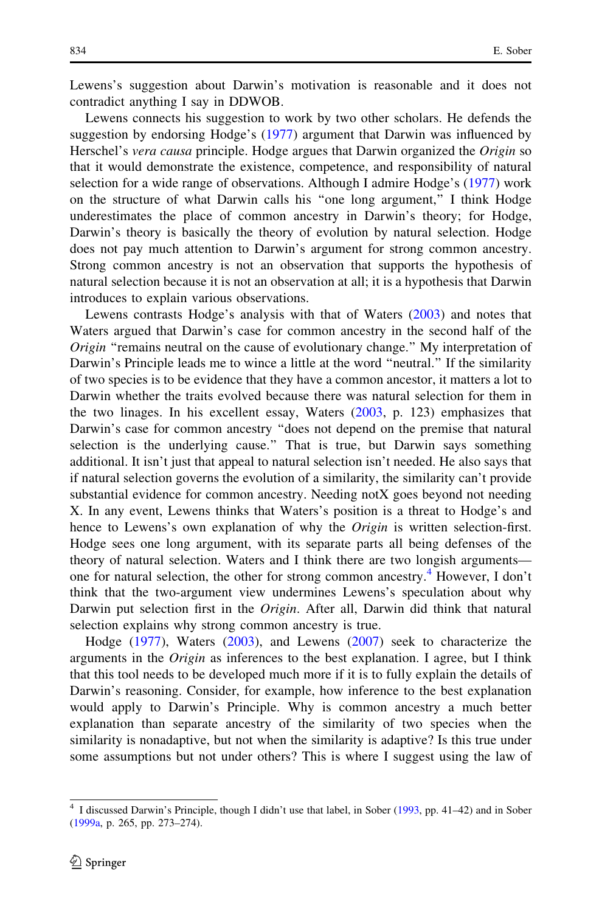Lewens's suggestion about Darwin's motivation is reasonable and it does not contradict anything I say in DDWOB.

Lewens connects his suggestion to work by two other scholars. He defends the suggestion by endorsing Hodge's [\(1977](#page-15-0)) argument that Darwin was influenced by Herschel's vera causa principle. Hodge argues that Darwin organized the Origin so that it would demonstrate the existence, competence, and responsibility of natural selection for a wide range of observations. Although I admire Hodge's ([1977\)](#page-15-0) work on the structure of what Darwin calls his ''one long argument,'' I think Hodge underestimates the place of common ancestry in Darwin's theory; for Hodge, Darwin's theory is basically the theory of evolution by natural selection. Hodge does not pay much attention to Darwin's argument for strong common ancestry. Strong common ancestry is not an observation that supports the hypothesis of natural selection because it is not an observation at all; it is a hypothesis that Darwin introduces to explain various observations.

Lewens contrasts Hodge's analysis with that of Waters ([2003\)](#page-15-0) and notes that Waters argued that Darwin's case for common ancestry in the second half of the Origin ''remains neutral on the cause of evolutionary change.'' My interpretation of Darwin's Principle leads me to wince a little at the word ''neutral.'' If the similarity of two species is to be evidence that they have a common ancestor, it matters a lot to Darwin whether the traits evolved because there was natural selection for them in the two linages. In his excellent essay, Waters  $(2003, p. 123)$  $(2003, p. 123)$  $(2003, p. 123)$  emphasizes that Darwin's case for common ancestry ''does not depend on the premise that natural selection is the underlying cause.'' That is true, but Darwin says something additional. It isn't just that appeal to natural selection isn't needed. He also says that if natural selection governs the evolution of a similarity, the similarity can't provide substantial evidence for common ancestry. Needing notX goes beyond not needing X. In any event, Lewens thinks that Waters's position is a threat to Hodge's and hence to Lewens's own explanation of why the *Origin* is written selection-first. Hodge sees one long argument, with its separate parts all being defenses of the theory of natural selection. Waters and I think there are two longish arguments one for natural selection, the other for strong common ancestry.<sup>4</sup> However, I don't think that the two-argument view undermines Lewens's speculation about why Darwin put selection first in the Origin. After all, Darwin did think that natural selection explains why strong common ancestry is true.

Hodge ([1977\)](#page-15-0), Waters [\(2003](#page-15-0)), and Lewens ([2007\)](#page-15-0) seek to characterize the arguments in the Origin as inferences to the best explanation. I agree, but I think that this tool needs to be developed much more if it is to fully explain the details of Darwin's reasoning. Consider, for example, how inference to the best explanation would apply to Darwin's Principle. Why is common ancestry a much better explanation than separate ancestry of the similarity of two species when the similarity is nonadaptive, but not when the similarity is adaptive? Is this true under some assumptions but not under others? This is where I suggest using the law of

 $\overline{4}$  I discussed Darwin's Principle, though I didn't use that label, in Sober [\(1993](#page-15-0), pp. 41–42) and in Sober ([1999a](#page-15-0), p. 265, pp. 273–274).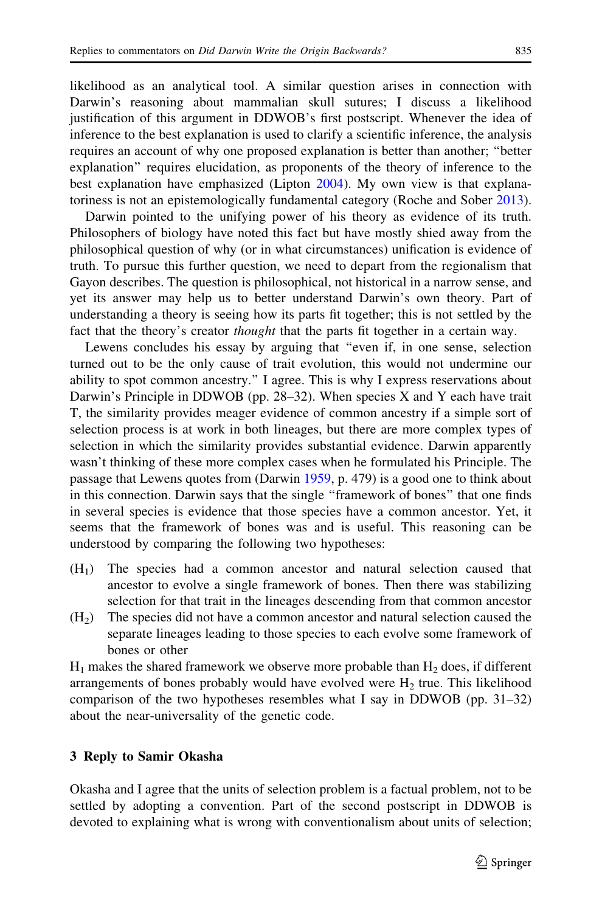likelihood as an analytical tool. A similar question arises in connection with Darwin's reasoning about mammalian skull sutures; I discuss a likelihood justification of this argument in DDWOB's first postscript. Whenever the idea of inference to the best explanation is used to clarify a scientific inference, the analysis requires an account of why one proposed explanation is better than another; ''better explanation'' requires elucidation, as proponents of the theory of inference to the best explanation have emphasized (Lipton [2004\)](#page-15-0). My own view is that explanatoriness is not an epistemologically fundamental category (Roche and Sober [2013\)](#page-15-0).

Darwin pointed to the unifying power of his theory as evidence of its truth. Philosophers of biology have noted this fact but have mostly shied away from the philosophical question of why (or in what circumstances) unification is evidence of truth. To pursue this further question, we need to depart from the regionalism that Gayon describes. The question is philosophical, not historical in a narrow sense, and yet its answer may help us to better understand Darwin's own theory. Part of understanding a theory is seeing how its parts fit together; this is not settled by the fact that the theory's creator thought that the parts fit together in a certain way.

Lewens concludes his essay by arguing that "even if, in one sense, selection turned out to be the only cause of trait evolution, this would not undermine our ability to spot common ancestry.'' I agree. This is why I express reservations about Darwin's Principle in DDWOB (pp. 28–32). When species X and Y each have trait T, the similarity provides meager evidence of common ancestry if a simple sort of selection process is at work in both lineages, but there are more complex types of selection in which the similarity provides substantial evidence. Darwin apparently wasn't thinking of these more complex cases when he formulated his Principle. The passage that Lewens quotes from (Darwin [1959,](#page-14-0) p. 479) is a good one to think about in this connection. Darwin says that the single ''framework of bones'' that one finds in several species is evidence that those species have a common ancestor. Yet, it seems that the framework of bones was and is useful. This reasoning can be understood by comparing the following two hypotheses:

- $(H<sub>1</sub>)$  The species had a common ancestor and natural selection caused that ancestor to evolve a single framework of bones. Then there was stabilizing selection for that trait in the lineages descending from that common ancestor
- $(H<sub>2</sub>)$  The species did not have a common ancestor and natural selection caused the separate lineages leading to those species to each evolve some framework of bones or other

 $H_1$  makes the shared framework we observe more probable than  $H_2$  does, if different arrangements of bones probably would have evolved were  $H_2$  true. This likelihood comparison of the two hypotheses resembles what I say in DDWOB (pp. 31–32) about the near-universality of the genetic code.

# 3 Reply to Samir Okasha

Okasha and I agree that the units of selection problem is a factual problem, not to be settled by adopting a convention. Part of the second postscript in DDWOB is devoted to explaining what is wrong with conventionalism about units of selection;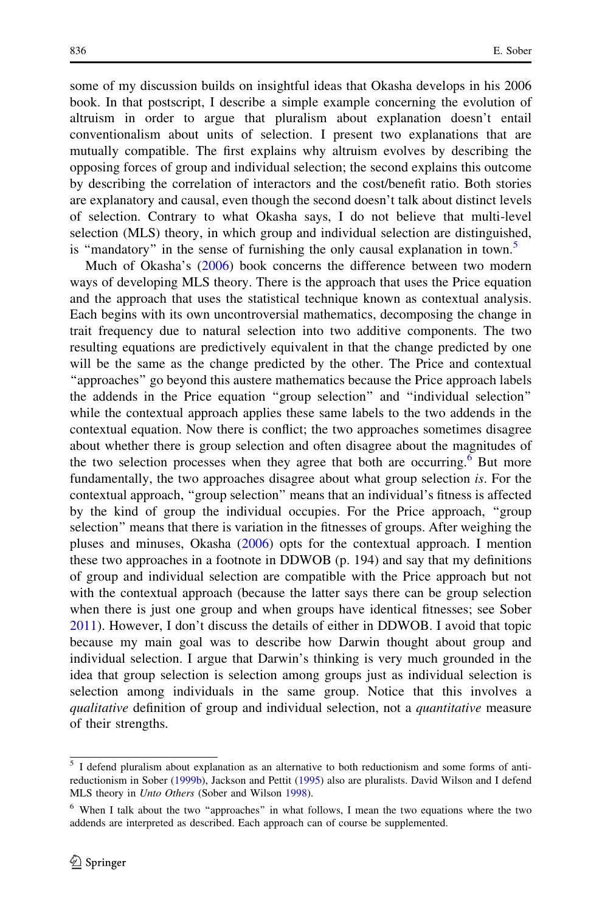some of my discussion builds on insightful ideas that Okasha develops in his 2006 book. In that postscript, I describe a simple example concerning the evolution of altruism in order to argue that pluralism about explanation doesn't entail conventionalism about units of selection. I present two explanations that are mutually compatible. The first explains why altruism evolves by describing the opposing forces of group and individual selection; the second explains this outcome by describing the correlation of interactors and the cost/benefit ratio. Both stories are explanatory and causal, even though the second doesn't talk about distinct levels of selection. Contrary to what Okasha says, I do not believe that multi-level selection (MLS) theory, in which group and individual selection are distinguished, is "mandatory" in the sense of furnishing the only causal explanation in town.<sup>5</sup>

Much of Okasha's [\(2006](#page-15-0)) book concerns the difference between two modern ways of developing MLS theory. There is the approach that uses the Price equation and the approach that uses the statistical technique known as contextual analysis. Each begins with its own uncontroversial mathematics, decomposing the change in trait frequency due to natural selection into two additive components. The two resulting equations are predictively equivalent in that the change predicted by one will be the same as the change predicted by the other. The Price and contextual ''approaches'' go beyond this austere mathematics because the Price approach labels the addends in the Price equation ''group selection'' and ''individual selection'' while the contextual approach applies these same labels to the two addends in the contextual equation. Now there is conflict; the two approaches sometimes disagree about whether there is group selection and often disagree about the magnitudes of the two selection processes when they agree that both are occurring.<sup>6</sup> But more fundamentally, the two approaches disagree about what group selection is. For the contextual approach, ''group selection'' means that an individual's fitness is affected by the kind of group the individual occupies. For the Price approach, ''group selection'' means that there is variation in the fitnesses of groups. After weighing the pluses and minuses, Okasha ([2006](#page-15-0)) opts for the contextual approach. I mention these two approaches in a footnote in DDWOB (p. 194) and say that my definitions of group and individual selection are compatible with the Price approach but not with the contextual approach (because the latter says there can be group selection when there is just one group and when groups have identical fitnesses; see Sober [2011\)](#page-15-0). However, I don't discuss the details of either in DDWOB. I avoid that topic because my main goal was to describe how Darwin thought about group and individual selection. I argue that Darwin's thinking is very much grounded in the idea that group selection is selection among groups just as individual selection is selection among individuals in the same group. Notice that this involves a qualitative definition of group and individual selection, not a *quantitative* measure of their strengths.

<sup>5</sup> I defend pluralism about explanation as an alternative to both reductionism and some forms of antireductionism in Sober [\(1999b](#page-15-0)), Jackson and Pettit [\(1995\)](#page-15-0) also are pluralists. David Wilson and I defend MLS theory in *Unto Others* (Sober and Wilson [1998](#page-15-0)).

<sup>6</sup> When I talk about the two ''approaches'' in what follows, I mean the two equations where the two addends are interpreted as described. Each approach can of course be supplemented.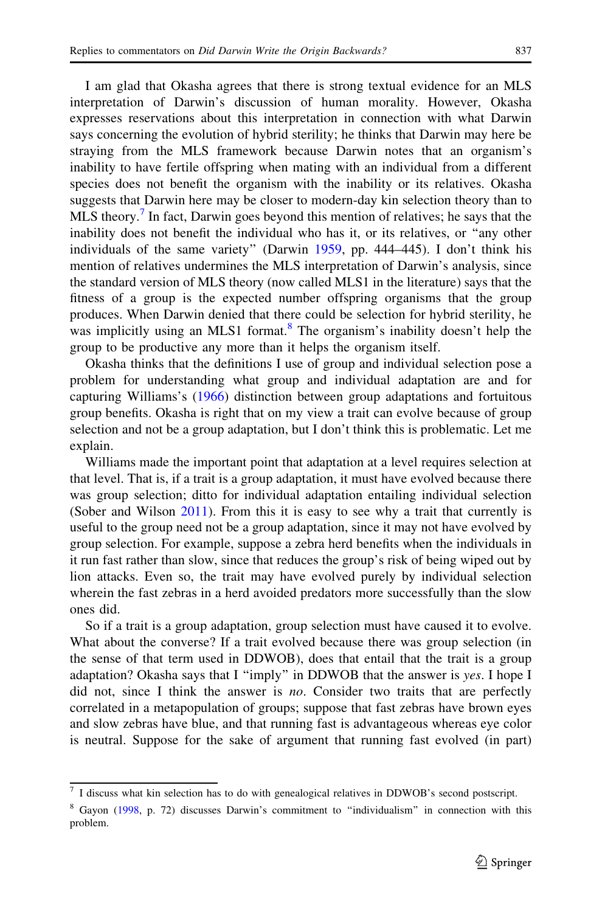I am glad that Okasha agrees that there is strong textual evidence for an MLS interpretation of Darwin's discussion of human morality. However, Okasha expresses reservations about this interpretation in connection with what Darwin says concerning the evolution of hybrid sterility; he thinks that Darwin may here be straying from the MLS framework because Darwin notes that an organism's inability to have fertile offspring when mating with an individual from a different species does not benefit the organism with the inability or its relatives. Okasha suggests that Darwin here may be closer to modern-day kin selection theory than to MLS theory.<sup>7</sup> In fact, Darwin goes beyond this mention of relatives; he says that the inability does not benefit the individual who has it, or its relatives, or ''any other individuals of the same variety'' (Darwin [1959,](#page-14-0) pp. 444–445). I don't think his mention of relatives undermines the MLS interpretation of Darwin's analysis, since the standard version of MLS theory (now called MLS1 in the literature) says that the fitness of a group is the expected number offspring organisms that the group produces. When Darwin denied that there could be selection for hybrid sterility, he was implicitly using an MLS1 format.<sup>8</sup> The organism's inability doesn't help the group to be productive any more than it helps the organism itself.

Okasha thinks that the definitions I use of group and individual selection pose a problem for understanding what group and individual adaptation are and for capturing Williams's ([1966\)](#page-15-0) distinction between group adaptations and fortuitous group benefits. Okasha is right that on my view a trait can evolve because of group selection and not be a group adaptation, but I don't think this is problematic. Let me explain.

Williams made the important point that adaptation at a level requires selection at that level. That is, if a trait is a group adaptation, it must have evolved because there was group selection; ditto for individual adaptation entailing individual selection (Sober and Wilson [2011](#page-15-0)). From this it is easy to see why a trait that currently is useful to the group need not be a group adaptation, since it may not have evolved by group selection. For example, suppose a zebra herd benefits when the individuals in it run fast rather than slow, since that reduces the group's risk of being wiped out by lion attacks. Even so, the trait may have evolved purely by individual selection wherein the fast zebras in a herd avoided predators more successfully than the slow ones did.

So if a trait is a group adaptation, group selection must have caused it to evolve. What about the converse? If a trait evolved because there was group selection (in the sense of that term used in DDWOB), does that entail that the trait is a group adaptation? Okasha says that I ''imply'' in DDWOB that the answer is yes. I hope I did not, since I think the answer is *no*. Consider two traits that are perfectly correlated in a metapopulation of groups; suppose that fast zebras have brown eyes and slow zebras have blue, and that running fast is advantageous whereas eye color is neutral. Suppose for the sake of argument that running fast evolved (in part)

<sup>7</sup> I discuss what kin selection has to do with genealogical relatives in DDWOB's second postscript.

<sup>8</sup> Gayon ([1998,](#page-14-0) p. 72) discusses Darwin's commitment to ''individualism'' in connection with this problem.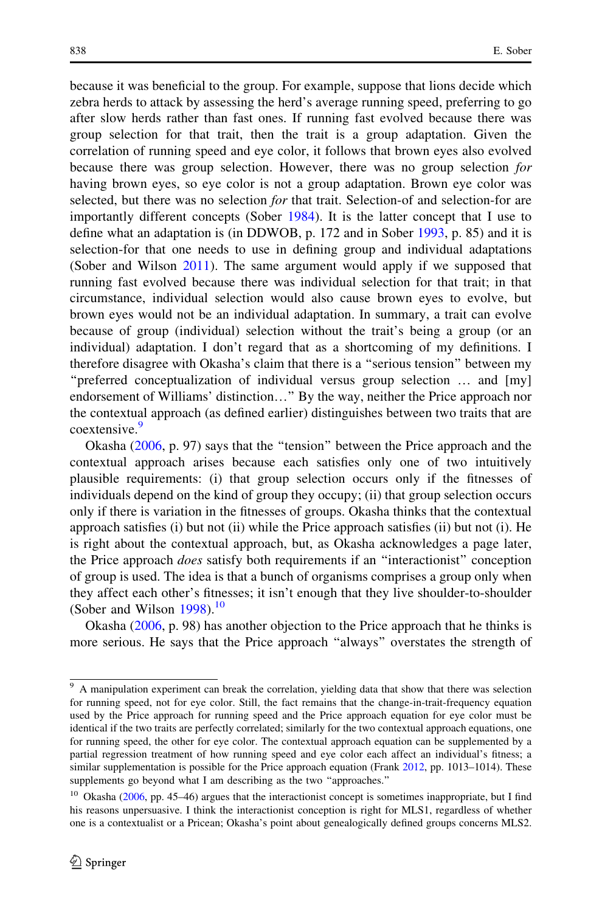because it was beneficial to the group. For example, suppose that lions decide which zebra herds to attack by assessing the herd's average running speed, preferring to go after slow herds rather than fast ones. If running fast evolved because there was group selection for that trait, then the trait is a group adaptation. Given the correlation of running speed and eye color, it follows that brown eyes also evolved because there was group selection. However, there was no group selection for having brown eyes, so eye color is not a group adaptation. Brown eye color was selected, but there was no selection *for* that trait. Selection-of and selection-for are importantly different concepts (Sober [1984](#page-15-0)). It is the latter concept that I use to define what an adaptation is (in DDWOB, p. 172 and in Sober [1993,](#page-15-0) p. 85) and it is selection-for that one needs to use in defining group and individual adaptations (Sober and Wilson [2011\)](#page-15-0). The same argument would apply if we supposed that running fast evolved because there was individual selection for that trait; in that circumstance, individual selection would also cause brown eyes to evolve, but brown eyes would not be an individual adaptation. In summary, a trait can evolve because of group (individual) selection without the trait's being a group (or an individual) adaptation. I don't regard that as a shortcoming of my definitions. I therefore disagree with Okasha's claim that there is a ''serious tension'' between my ''preferred conceptualization of individual versus group selection … and [my] endorsement of Williams' distinction…'' By the way, neither the Price approach nor the contextual approach (as defined earlier) distinguishes between two traits that are coextensive.<sup>9</sup>

Okasha [\(2006](#page-15-0), p. 97) says that the ''tension'' between the Price approach and the contextual approach arises because each satisfies only one of two intuitively plausible requirements: (i) that group selection occurs only if the fitnesses of individuals depend on the kind of group they occupy; (ii) that group selection occurs only if there is variation in the fitnesses of groups. Okasha thinks that the contextual approach satisfies (i) but not (ii) while the Price approach satisfies (ii) but not (i). He is right about the contextual approach, but, as Okasha acknowledges a page later, the Price approach does satisfy both requirements if an ''interactionist'' conception of group is used. The idea is that a bunch of organisms comprises a group only when they affect each other's fitnesses; it isn't enough that they live shoulder-to-shoulder (Sober and Wilson  $1998$ ).<sup>10</sup>

Okasha [\(2006](#page-15-0), p. 98) has another objection to the Price approach that he thinks is more serious. He says that the Price approach ''always'' overstates the strength of

<sup>&</sup>lt;sup>9</sup> A manipulation experiment can break the correlation, yielding data that show that there was selection for running speed, not for eye color. Still, the fact remains that the change-in-trait-frequency equation used by the Price approach for running speed and the Price approach equation for eye color must be identical if the two traits are perfectly correlated; similarly for the two contextual approach equations, one for running speed, the other for eye color. The contextual approach equation can be supplemented by a partial regression treatment of how running speed and eye color each affect an individual's fitness; a similar supplementation is possible for the Price approach equation (Frank [2012,](#page-14-0) pp. 1013–1014). These supplements go beyond what I am describing as the two ''approaches.''

<sup>10</sup> Okasha ([2006,](#page-15-0) pp. 45–46) argues that the interactionist concept is sometimes inappropriate, but I find his reasons unpersuasive. I think the interactionist conception is right for MLS1, regardless of whether one is a contextualist or a Pricean; Okasha's point about genealogically defined groups concerns MLS2.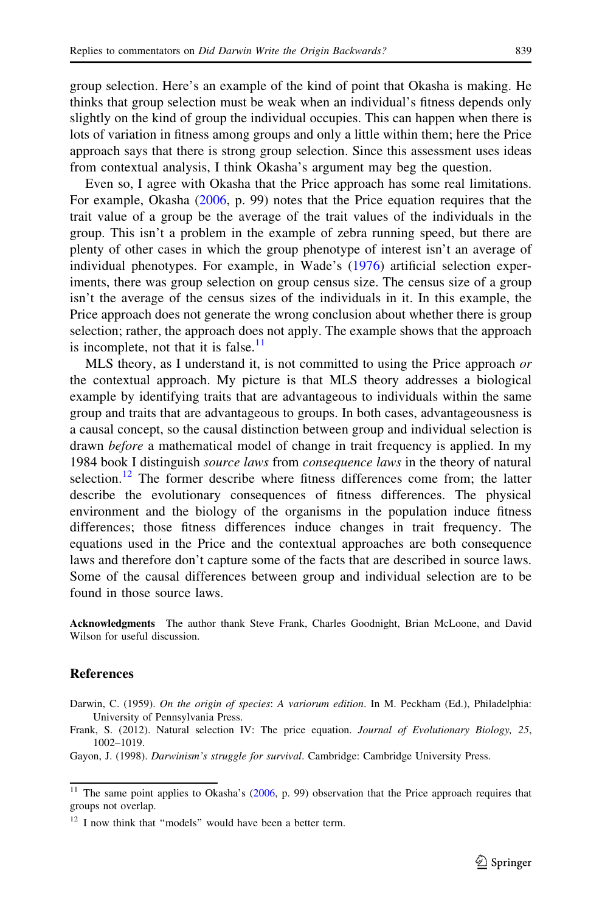<span id="page-14-0"></span>group selection. Here's an example of the kind of point that Okasha is making. He thinks that group selection must be weak when an individual's fitness depends only slightly on the kind of group the individual occupies. This can happen when there is lots of variation in fitness among groups and only a little within them; here the Price approach says that there is strong group selection. Since this assessment uses ideas from contextual analysis, I think Okasha's argument may beg the question.

Even so, I agree with Okasha that the Price approach has some real limitations. For example, Okasha ([2006](#page-15-0), p. 99) notes that the Price equation requires that the trait value of a group be the average of the trait values of the individuals in the group. This isn't a problem in the example of zebra running speed, but there are plenty of other cases in which the group phenotype of interest isn't an average of individual phenotypes. For example, in Wade's [\(1976](#page-15-0)) artificial selection experiments, there was group selection on group census size. The census size of a group isn't the average of the census sizes of the individuals in it. In this example, the Price approach does not generate the wrong conclusion about whether there is group selection; rather, the approach does not apply. The example shows that the approach is incomplete, not that it is false. $\frac{11}{11}$ 

MLS theory, as I understand it, is not committed to using the Price approach or the contextual approach. My picture is that MLS theory addresses a biological example by identifying traits that are advantageous to individuals within the same group and traits that are advantageous to groups. In both cases, advantageousness is a causal concept, so the causal distinction between group and individual selection is drawn before a mathematical model of change in trait frequency is applied. In my 1984 book I distinguish source laws from consequence laws in the theory of natural selection.<sup>12</sup> The former describe where fitness differences come from; the latter describe the evolutionary consequences of fitness differences. The physical environment and the biology of the organisms in the population induce fitness differences; those fitness differences induce changes in trait frequency. The equations used in the Price and the contextual approaches are both consequence laws and therefore don't capture some of the facts that are described in source laws. Some of the causal differences between group and individual selection are to be found in those source laws.

Acknowledgments The author thank Steve Frank, Charles Goodnight, Brian McLoone, and David Wilson for useful discussion.

## References

Darwin, C. (1959). On the origin of species: A variorum edition. In M. Peckham (Ed.), Philadelphia: University of Pennsylvania Press.

Frank, S. (2012). Natural selection IV: The price equation. Journal of Evolutionary Biology, 25, 1002–1019.

Gayon, J. (1998). Darwinism's struggle for survival. Cambridge: Cambridge University Press.

<sup>&</sup>lt;sup>11</sup> The same point applies to Okasha's ([2006,](#page-15-0) p. 99) observation that the Price approach requires that groups not overlap.

<sup>&</sup>lt;sup>12</sup> I now think that "models" would have been a better term.